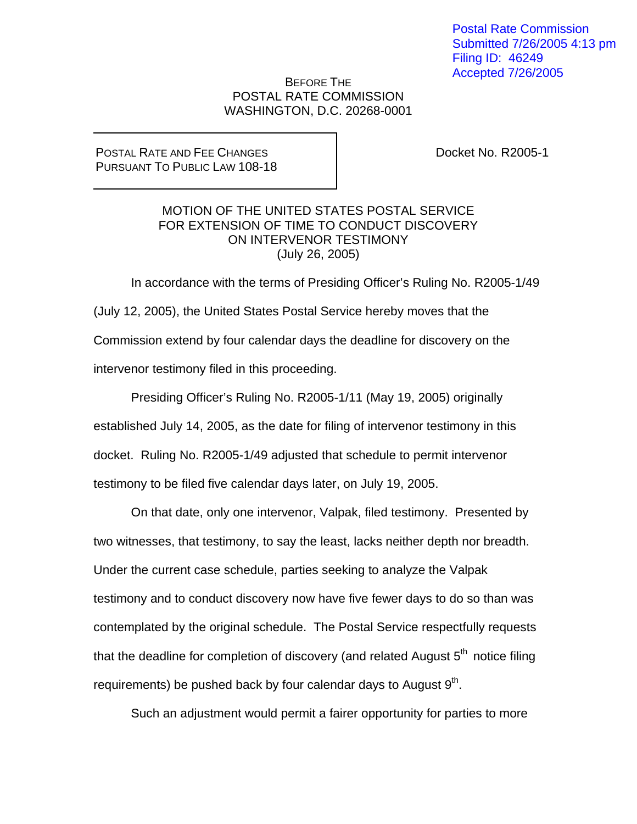Postal Rate Commission Submitted 7/26/2005 4:13 pm Filing ID: 46249 Accepted 7/26/2005

## BEFORE THE POSTAL RATE COMMISSION WASHINGTON, D.C. 20268-0001

## POSTAL RATE AND FEE CHANGES PURSUANT TO PUBLIC LAW 108-18

Docket No. R2005-1

## MOTION OF THE UNITED STATES POSTAL SERVICE FOR EXTENSION OF TIME TO CONDUCT DISCOVERY ON INTERVENOR TESTIMONY (July 26, 2005)

 In accordance with the terms of Presiding Officer's Ruling No. R2005-1/49 (July 12, 2005), the United States Postal Service hereby moves that the Commission extend by four calendar days the deadline for discovery on the intervenor testimony filed in this proceeding.

 Presiding Officer's Ruling No. R2005-1/11 (May 19, 2005) originally established July 14, 2005, as the date for filing of intervenor testimony in this docket. Ruling No. R2005-1/49 adjusted that schedule to permit intervenor testimony to be filed five calendar days later, on July 19, 2005.

 On that date, only one intervenor, Valpak, filed testimony. Presented by two witnesses, that testimony, to say the least, lacks neither depth nor breadth. Under the current case schedule, parties seeking to analyze the Valpak testimony and to conduct discovery now have five fewer days to do so than was contemplated by the original schedule. The Postal Service respectfully requests that the deadline for completion of discovery (and related August  $5<sup>th</sup>$  notice filing requirements) be pushed back by four calendar days to August  $9<sup>th</sup>$ .

Such an adjustment would permit a fairer opportunity for parties to more